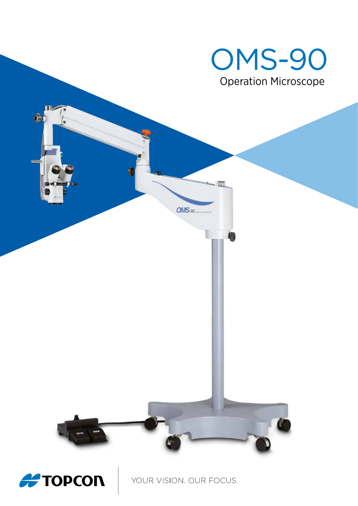

YOUR VISION. OUR FOCUS.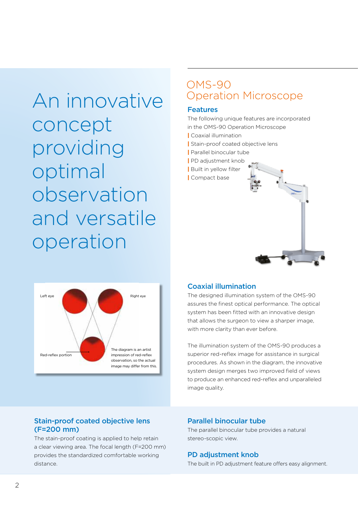An innovative concept providing optimal observation and versatile operation



# OMS-90 Operation Microscope

#### Features

The following unique features are incorporated in the OMS-90 Operation Microscope

- | Coaxial illumination
- **Stain-proof coated objective lens**
- | Parallel binocular tube
- | PD adjustment knob
- | Built in yellow filter
- | Compact base



### Coaxial illumination

The designed illumination system of the OMS-90 assures the finest optical performance. The optical system has been fitted with an innovative design that allows the surgeon to view a sharper image, with more clarity than ever before.

The illumination system of the OMS-90 produces a superior red-reflex image for assistance in surgical procedures. As shown in the diagram, the innovative system design merges two improved field of views to produce an enhanced red-reflex and unparalleled image quality.

## Stain-proof coated objective lens (F=200 mm)

The stain-proof coating is applied to help retain a clear viewing area. The focal length (F=200 mm) provides the standardized comfortable working distance.

#### Parallel binocular tube

The parallel binocular tube provides a natural stereo-scopic view.

#### PD adjustment knob

The built in PD adjustment feature offers easy alignment.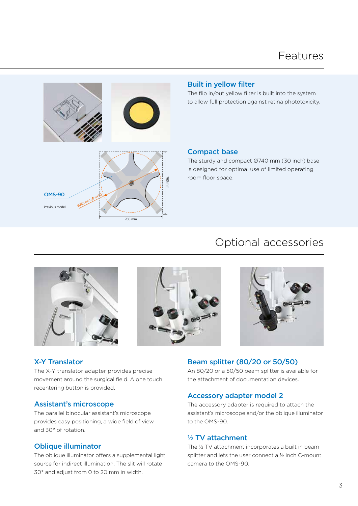

#### Built in yellow filter

The flip in/out yellow filter is built into the system to allow full protection against retina phototoxicity.

#### Compact base

The sturdy and compact Ø740 mm (30 inch) base is designed for optimal use of limited operating room floor space.

# Optional accessories







#### X-Y Translator

The X-Y translator adapter provides precise movement around the surgical field. A one touch recentering button is provided.

#### Assistant's microscope

The parallel binocular assistant's microscope provides easy positioning, a wide field of view and 30° of rotation.

#### Oblique illuminator

The oblique illuminator offers a supplemental light source for indirect illumination. The slit will rotate 30° and adjust from 0 to 20 mm in width.

#### Beam splitter (80/20 or 50/50)

An 80/20 or a 50/50 beam splitter is available for the attachment of documentation devices.

#### Accessory adapter model 2

The accessory adapter is required to attach the assistant's microscope and/or the oblique illuminator to the OMS-90.

#### 1/2 TV attachment

The 1/2 TV attachment incorporates a built in beam splitter and lets the user connect a 1/2 inch C-mount camera to the OMS-90.